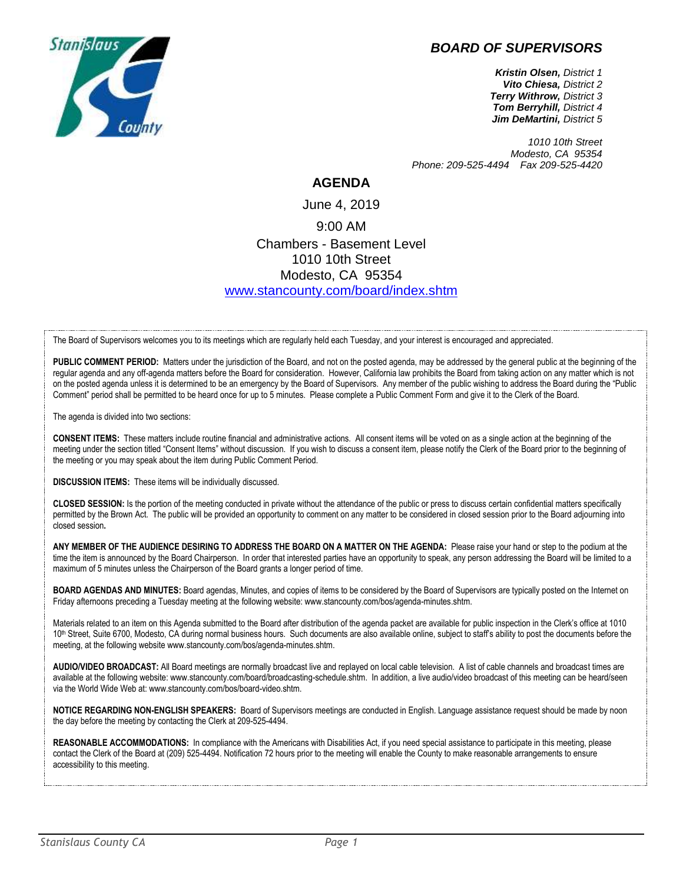## *BOARD OF SUPERVISORS*



*Kristin Olsen, District 1 Vito Chiesa, District 2 Terry Withrow, District 3 Tom Berryhill, District 4 Jim DeMartini, District 5*

*1010 10th Street Modesto, CA 95354 Phone: 209-525-4494 Fax 209-525-4420*

## **AGENDA**

June 4, 2019 9:00 AM Chambers - Basement Level 1010 10th Street Modesto, CA 95354 [www.stancounty.com/board/index.shtm](http://www.stancounty.com/board/index.shtm)

The Board of Supervisors welcomes you to its meetings which are regularly held each Tuesday, and your interest is encouraged and appreciated.

PUBLIC COMMENT PERIOD: Matters under the jurisdiction of the Board, and not on the posted agenda, may be addressed by the general public at the beginning of the regular agenda and any off-agenda matters before the Board for consideration. However, California law prohibits the Board from taking action on any matter which is not on the posted agenda unless it is determined to be an emergency by the Board of Supervisors. Any member of the public wishing to address the Board during the "Public Comment" period shall be permitted to be heard once for up to 5 minutes. Please complete a Public Comment Form and give it to the Clerk of the Board.

The agenda is divided into two sections:

**CONSENT ITEMS:** These matters include routine financial and administrative actions. All consent items will be voted on as a single action at the beginning of the meeting under the section titled "Consent Items" without discussion. If you wish to discuss a consent item, please notify the Clerk of the Board prior to the beginning of the meeting or you may speak about the item during Public Comment Period.

**DISCUSSION ITEMS:** These items will be individually discussed.

**CLOSED SESSION:** Is the portion of the meeting conducted in private without the attendance of the public or press to discuss certain confidential matters specifically permitted by the Brown Act. The public will be provided an opportunity to comment on any matter to be considered in closed session prior to the Board adjourning into closed session**.**

**ANY MEMBER OF THE AUDIENCE DESIRING TO ADDRESS THE BOARD ON A MATTER ON THE AGENDA:** Please raise your hand or step to the podium at the time the item is announced by the Board Chairperson. In order that interested parties have an opportunity to speak, any person addressing the Board will be limited to a maximum of 5 minutes unless the Chairperson of the Board grants a longer period of time.

**BOARD AGENDAS AND MINUTES:** Board agendas, Minutes, and copies of items to be considered by the Board of Supervisors are typically posted on the Internet on Friday afternoons preceding a Tuesday meeting at the following website: www.stancounty.com/bos/agenda-minutes.shtm.

Materials related to an item on this Agenda submitted to the Board after distribution of the agenda packet are available for public inspection in the Clerk's office at 1010 10<sup>th</sup> Street, Suite 6700, Modesto, CA during normal business hours. Such documents are also available online, subject to staff's ability to post the documents before the meeting, at the following website www.stancounty.com/bos/agenda-minutes.shtm.

**AUDIO/VIDEO BROADCAST:** All Board meetings are normally broadcast live and replayed on local cable television. A list of cable channels and broadcast times are available at the following website: www.stancounty.com/board/broadcasting-schedule.shtm. In addition, a live audio/video broadcast of this meeting can be heard/seen via the World Wide Web at: www.stancounty.com/bos/board-video.shtm.

**NOTICE REGARDING NON-ENGLISH SPEAKERS:** Board of Supervisors meetings are conducted in English. Language assistance request should be made by noon the day before the meeting by contacting the Clerk at 209-525-4494.

**REASONABLE ACCOMMODATIONS:** In compliance with the Americans with Disabilities Act, if you need special assistance to participate in this meeting, please contact the Clerk of the Board at (209) 525-4494. Notification 72 hours prior to the meeting will enable the County to make reasonable arrangements to ensure accessibility to this meeting.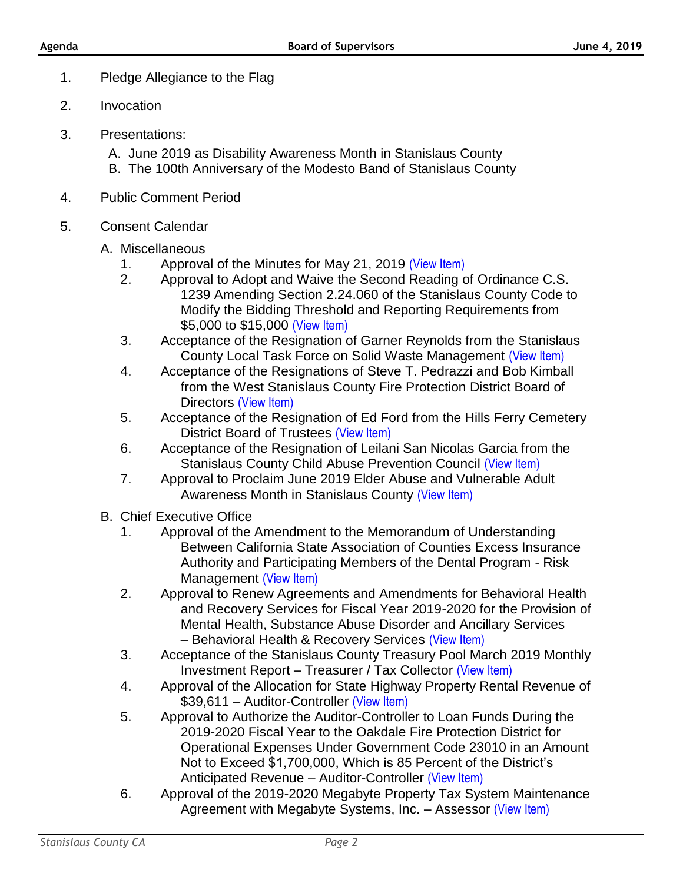- 1. Pledge Allegiance to the Flag
- 2. Invocation
- 3. Presentations:
	- A. June 2019 as Disability Awareness Month in Stanislaus County
	- B. The 100th Anniversary of the Modesto Band of Stanislaus County
- 4. Public Comment Period
- 5. Consent Calendar
	- A. Miscellaneous
		- 1. Approval of the Minutes for May 21, 2019 [\(View Item\)](http://stancounty.com/bos/minutes/2019/min05-21-19.pdf)
		- 2. Approval to Adopt and Waive the Second Reading of Ordinance C.S. 1239 Amending Section 2.24.060 of the Stanislaus County Code to Modify the Bidding Threshold and Reporting Requirements from \$5,000 to \$15,000 [\(View Item\)](http://stancounty.com/bos/agenda/2019/20190604/A02.pdf)
		- 3. Acceptance of the Resignation of Garner Reynolds from the Stanislaus County Local Task Force on Solid Waste Management [\(View Item\)](http://stancounty.com/bos/agenda/2019/20190604/A03.pdf)
		- 4. Acceptance of the Resignations of Steve T. Pedrazzi and Bob Kimball from the West Stanislaus County Fire Protection District Board of Directors [\(View Item\)](http://stancounty.com/bos/agenda/2019/20190604/A04.pdf)
		- 5. Acceptance of the Resignation of Ed Ford from the Hills Ferry Cemetery District Board of Trustees [\(View Item\)](http://stancounty.com/bos/agenda/2019/20190604/A05.pdf)
		- 6. Acceptance of the Resignation of Leilani San Nicolas Garcia from the Stanislaus County Child Abuse Prevention Council [\(View Item\)](http://stancounty.com/bos/agenda/2019/20190604/A06.pdf)
		- 7. Approval to Proclaim June 2019 Elder Abuse and Vulnerable Adult Awareness Month in Stanislaus County [\(View Item\)](http://stancounty.com/bos/agenda/2019/20190604/A07.pdf)
	- B. Chief Executive Office
		- 1. Approval of the Amendment to the Memorandum of Understanding Between California State Association of Counties Excess Insurance Authority and Participating Members of the Dental Program - Risk Management [\(View Item\)](http://stancounty.com/bos/agenda/2019/20190604/B01.pdf)
		- 2. Approval to Renew Agreements and Amendments for Behavioral Health and Recovery Services for Fiscal Year 2019-2020 for the Provision of Mental Health, Substance Abuse Disorder and Ancillary Services – Behavioral Health & Recovery Services [\(View Item\)](http://stancounty.com/bos/agenda/2019/20190604/B02.pdf)
		- 3. Acceptance of the Stanislaus County Treasury Pool March 2019 Monthly Investment Report – Treasurer / Tax Collector [\(View Item\)](http://stancounty.com/bos/agenda/2019/20190604/B03.pdf)
		- 4. Approval of the Allocation for State Highway Property Rental Revenue of \$39,611 – Auditor-Controller [\(View Item\)](http://stancounty.com/bos/agenda/2019/20190604/B04.pdf)
		- 5. Approval to Authorize the Auditor-Controller to Loan Funds During the 2019-2020 Fiscal Year to the Oakdale Fire Protection District for Operational Expenses Under Government Code 23010 in an Amount Not to Exceed \$1,700,000, Which is 85 Percent of the District's Anticipated Revenue – Auditor-Controller [\(View Item\)](http://stancounty.com/bos/agenda/2019/20190604/B05.pdf)
		- 6. Approval of the 2019-2020 Megabyte Property Tax System Maintenance Agreement with Megabyte Systems, Inc. - Assessor [\(View Item\)](http://stancounty.com/bos/agenda/2019/20190604/B06.pdf)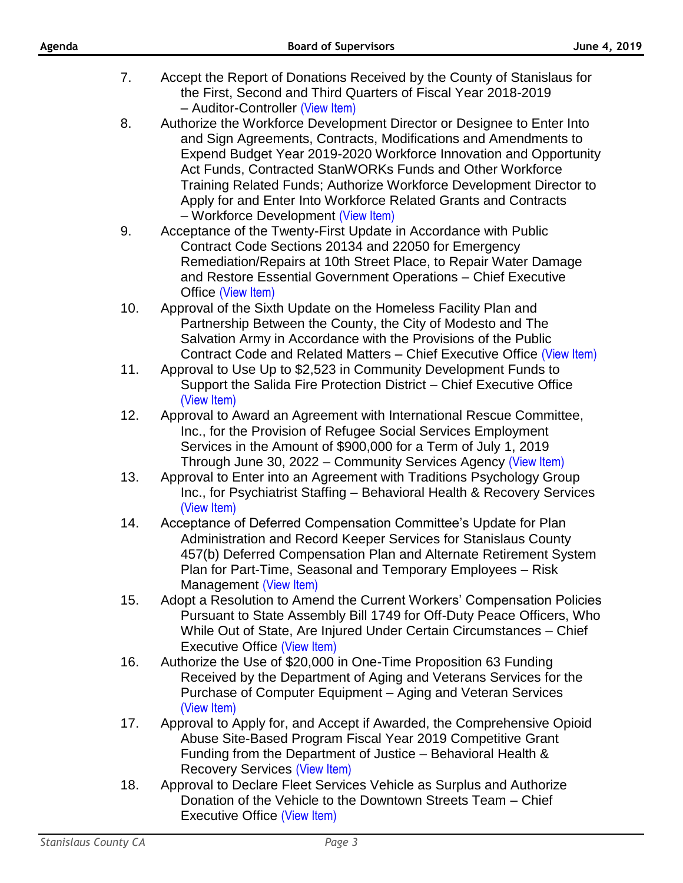- 7. Accept the Report of Donations Received by the County of Stanislaus for the First, Second and Third Quarters of Fiscal Year 2018-2019 – Auditor-Controller [\(View Item\)](http://stancounty.com/bos/agenda/2019/20190604/B07.pdf)
- 8. Authorize the Workforce Development Director or Designee to Enter Into and Sign Agreements, Contracts, Modifications and Amendments to Expend Budget Year 2019-2020 Workforce Innovation and Opportunity Act Funds, Contracted StanWORKs Funds and Other Workforce Training Related Funds; Authorize Workforce Development Director to Apply for and Enter Into Workforce Related Grants and Contracts – Workforce Development [\(View Item\)](http://stancounty.com/bos/agenda/2019/20190604/B08.pdf)
- 9. Acceptance of the Twenty-First Update in Accordance with Public Contract Code Sections 20134 and 22050 for Emergency Remediation/Repairs at 10th Street Place, to Repair Water Damage and Restore Essential Government Operations – Chief Executive Office [\(View Item\)](http://stancounty.com/bos/agenda/2019/20190604/B09.pdf)
- 10. Approval of the Sixth Update on the Homeless Facility Plan and Partnership Between the County, the City of Modesto and The Salvation Army in Accordance with the Provisions of the Public Contract Code and Related Matters – Chief Executive Office [\(View Item\)](http://stancounty.com/bos/agenda/2019/20190604/B10.pdf)
- 11. Approval to Use Up to \$2,523 in Community Development Funds to Support the Salida Fire Protection District – Chief Executive Office [\(View Item\)](http://stancounty.com/bos/agenda/2019/20190604/B11.pdf)
- 12. Approval to Award an Agreement with International Rescue Committee, Inc., for the Provision of Refugee Social Services Employment Services in the Amount of \$900,000 for a Term of July 1, 2019 Through June 30, 2022 – Community Services Agency [\(View Item\)](http://stancounty.com/bos/agenda/2019/20190604/B12.pdf)
- 13. Approval to Enter into an Agreement with Traditions Psychology Group Inc., for Psychiatrist Staffing – Behavioral Health & Recovery Services [\(View Item\)](http://stancounty.com/bos/agenda/2019/20190604/B13.pdf)
- 14. Acceptance of Deferred Compensation Committee's Update for Plan Administration and Record Keeper Services for Stanislaus County 457(b) Deferred Compensation Plan and Alternate Retirement System Plan for Part-Time, Seasonal and Temporary Employees – Risk Management [\(View Item\)](http://stancounty.com/bos/agenda/2019/20190604/B14.pdf)
- 15. Adopt a Resolution to Amend the Current Workers' Compensation Policies Pursuant to State Assembly Bill 1749 for Off-Duty Peace Officers, Who While Out of State, Are Injured Under Certain Circumstances – Chief Executive Office [\(View Item\)](http://stancounty.com/bos/agenda/2019/20190604/B15.pdf)
- 16. Authorize the Use of \$20,000 in One-Time Proposition 63 Funding Received by the Department of Aging and Veterans Services for the Purchase of Computer Equipment – Aging and Veteran Services [\(View Item\)](http://stancounty.com/bos/agenda/2019/20190604/B16.pdf)
- 17. Approval to Apply for, and Accept if Awarded, the Comprehensive Opioid Abuse Site-Based Program Fiscal Year 2019 Competitive Grant Funding from the Department of Justice – Behavioral Health & Recovery Services [\(View Item\)](http://stancounty.com/bos/agenda/2019/20190604/B17.pdf)
- 18. Approval to Declare Fleet Services Vehicle as Surplus and Authorize Donation of the Vehicle to the Downtown Streets Team – Chief Executive Office [\(View Item\)](http://stancounty.com/bos/agenda/2019/20190604/B18.pdf)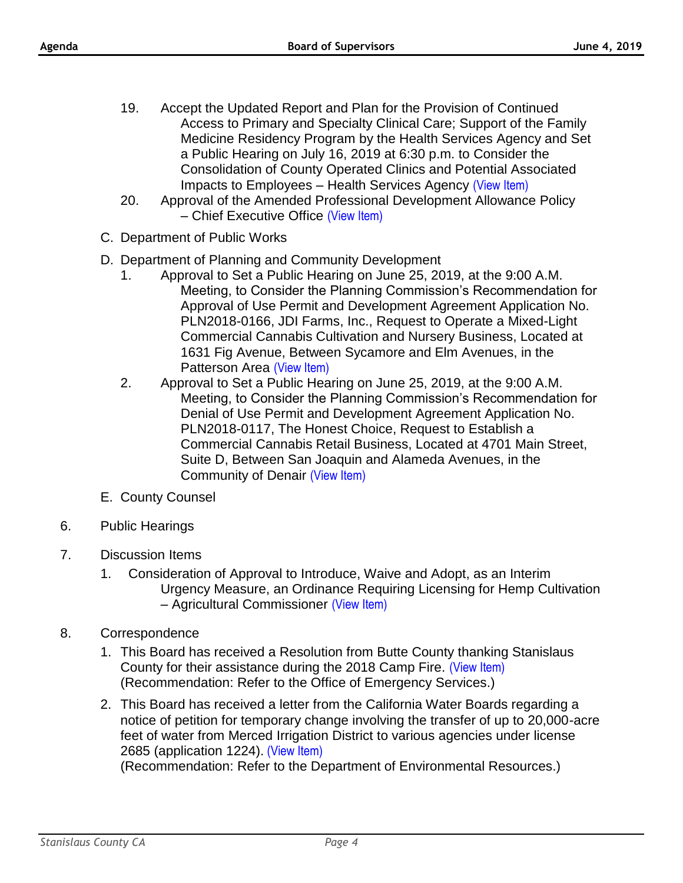- 19. Accept the Updated Report and Plan for the Provision of Continued Access to Primary and Specialty Clinical Care; Support of the Family Medicine Residency Program by the Health Services Agency and Set a Public Hearing on July 16, 2019 at 6:30 p.m. to Consider the Consolidation of County Operated Clinics and Potential Associated Impacts to Employees – Health Services Agency [\(View Item\)](http://stancounty.com/bos/agenda/2019/20190604/B19.pdf)
- 20. Approval of the Amended Professional Development Allowance Policy – Chief Executive Office [\(View Item\)](http://stancounty.com/bos/agenda/2019/20190604/B20.pdf)
- C. Department of Public Works
- D. Department of Planning and Community Development
	- 1. Approval to Set a Public Hearing on June 25, 2019, at the 9:00 A.M. Meeting, to Consider the Planning Commission's Recommendation for Approval of Use Permit and Development Agreement Application No. PLN2018-0166, JDI Farms, Inc., Request to Operate a Mixed-Light Commercial Cannabis Cultivation and Nursery Business, Located at 1631 Fig Avenue, Between Sycamore and Elm Avenues, in the Patterson Area [\(View Item\)](http://stancounty.com/bos/agenda/2019/20190604/D01.pdf)
	- 2. Approval to Set a Public Hearing on June 25, 2019, at the 9:00 A.M. Meeting, to Consider the Planning Commission's Recommendation for Denial of Use Permit and Development Agreement Application No. PLN2018-0117, The Honest Choice, Request to Establish a Commercial Cannabis Retail Business, Located at 4701 Main Street, Suite D, Between San Joaquin and Alameda Avenues, in the Community of Denair [\(View Item\)](http://stancounty.com/bos/agenda/2019/20190604/D02.pdf)
- E. County Counsel
- 6. Public Hearings
- 7. Discussion Items
	- 1. Consideration of Approval to Introduce, Waive and Adopt, as an Interim Urgency Measure, an Ordinance Requiring Licensing for Hemp Cultivation – Agricultural Commissioner [\(View Item\)](http://stancounty.com/bos/agenda/2019/20190604/DIS01.pdf)
- 8. Correspondence
	- 1. This Board has received a Resolution from Butte County thanking Stanislaus County for their assistance during the 2018 Camp Fire. [\(View Item\)](http://stancounty.com/bos/agenda/2019/20190604/Corr01.pdf) (Recommendation: Refer to the Office of Emergency Services.)
	- 2. This Board has received a letter from the California Water Boards regarding a notice of petition for temporary change involving the transfer of up to 20,000-acre feet of water from Merced Irrigation District to various agencies under license 2685 (application 1224). [\(View Item\)](http://stancounty.com/bos/agenda/2019/20190604/Corr02.pdf)

(Recommendation: Refer to the Department of Environmental Resources.)